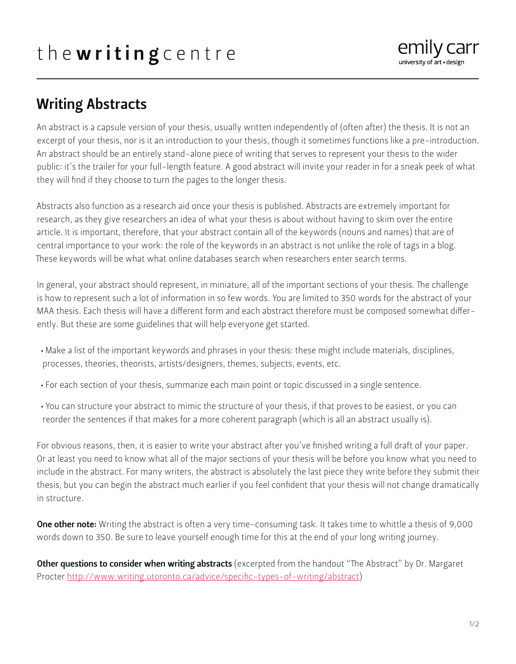

## Writing Abstracts

An abstract is a capsule version of your thesis, usually written independently of (often after) the thesis. It is not an excerpt of your thesis, nor is it an introduction to your thesis, though it sometimes functions like a pre-introduction. An abstract should be an entirely stand-alone piece of writing that serves to represent your thesis to the wider public: it's the trailer for your full-length feature. A good abstract will invite your reader in for a sneak peek of what they will find if they choose to turn the pages to the longer thesis.

Abstracts also function as a research aid once your thesis is published. Abstracts are extremely important for research, as they give researchers an idea of what your thesis is about without having to skim over the entire article. It is important, therefore, that your abstract contain all of the keywords (nouns and names) that are of central importance to your work: the role of the keywords in an abstract is not unlike the role of tags in a blog. These keywords will be what what online databases search when researchers enter search terms.

In general, your abstract should represent, in miniature, all of the important sections of your thesis. The challenge is how to represent such a lot of information in so few words. You are limited to 350 words for the abstract of your MAA thesis. Each thesis will have a different form and each abstract therefore must be composed somewhat differently. But these are some guidelines that will help everyone get started.

- Make a list of the important keywords and phrases in your thesis: these might include materials, disciplines, processes, theories, theorists, artists/designers, themes, subjects, events, etc.
- For each section of your thesis, summarize each main point or topic discussed in a single sentence.
- You can structure your abstract to mimic the structure of your thesis, if that proves to be easiest, or you can reorder the sentences if that makes for a more coherent paragraph (which is all an abstract usually is).

For obvious reasons, then, it is easier to write your abstract after you've finished writing a full draft of your paper. Or at least you need to know what all of the major sections of your thesis will be before you know what you need to include in the abstract. For many writers, the abstract is absolutely the last piece they write before they submit their thesis, but you can begin the abstract much earlier if you feel confident that your thesis will not change dramatically in structure.

**One other note:** Writing the abstract is often a very time-consuming task. It takes time to whittle a thesis of 9,000 words down to 350. Be sure to leave yourself enough time for this at the end of your long writing journey.

Other questions to consider when writing abstracts (excerpted from the handout "The Abstract" by Dr. Margaret Procter [http://www.writing.utoronto.ca/advice/specific-types-of-writing/abstract\)](http://www.writing.utoronto.ca/advice/specific-types-of-writing/abstract)